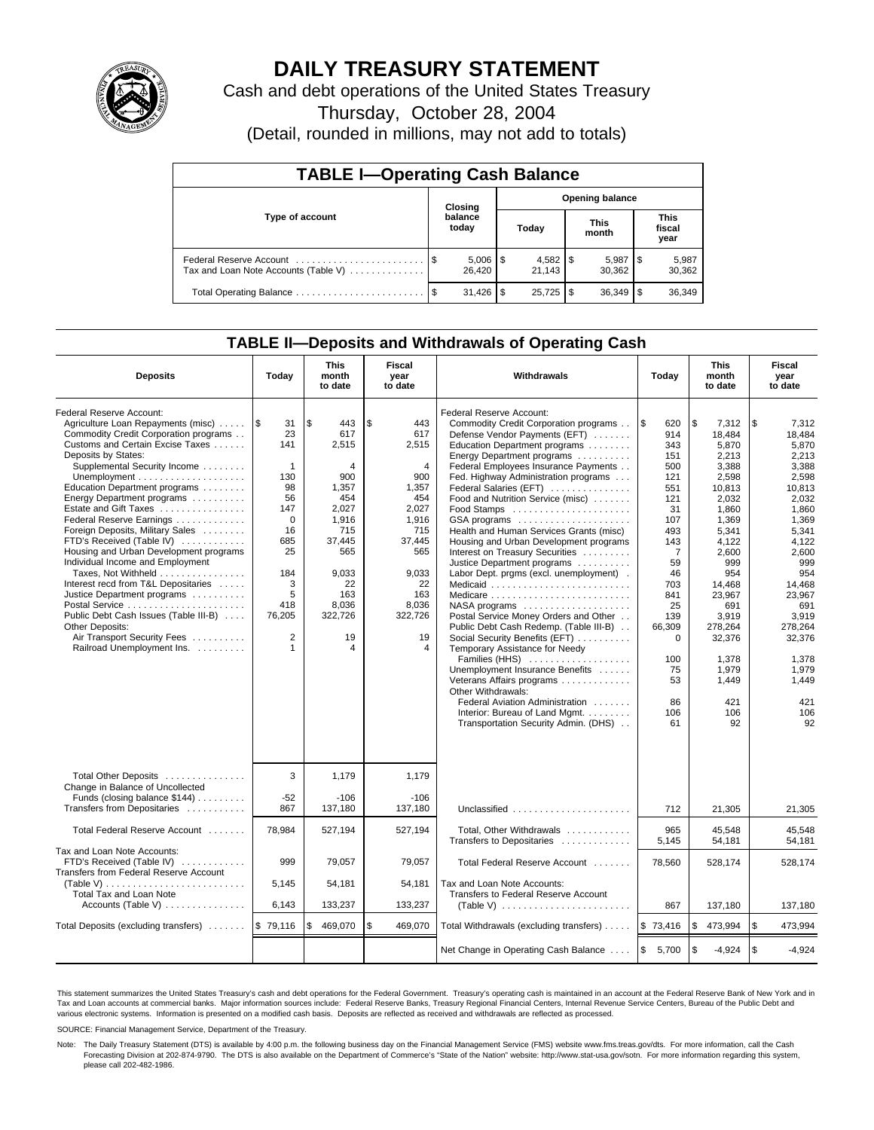

## **DAILY TREASURY STATEMENT**

Cash and debt operations of the United States Treasury

Thursday, October 28, 2004

(Detail, rounded in millions, may not add to totals)

| <b>TABLE I-Operating Cash Balance</b> |                  |                        |       |                        |                      |                 |                               |                 |  |  |
|---------------------------------------|------------------|------------------------|-------|------------------------|----------------------|-----------------|-------------------------------|-----------------|--|--|
|                                       | Closing          |                        |       | <b>Opening balance</b> |                      |                 |                               |                 |  |  |
| Type of account                       | balance<br>today |                        | Today |                        | <b>This</b><br>month |                 | <b>This</b><br>fiscal<br>year |                 |  |  |
| Tax and Loan Note Accounts (Table V)  |                  | $5,006$   \$<br>26.420 |       | 21.143                 |                      | 5,987<br>30.362 | 1\$                           | 5,987<br>30,362 |  |  |
| Total Operating Balance               | - \$             | 31,426                 | S     | $25,725$ \$            |                      | 36,349          |                               | 36,349          |  |  |

### **TABLE II—Deposits and Withdrawals of Operating Cash**

| <b>Deposits</b>                                                                                                                                                                                                                                                                                                                                                                                                                                                                                                                                                                                                                                                                             | Today                                                                                                                                                                  | <b>This</b><br>month<br>to date                                                                                                                                     | Fiscal<br>year<br>to date                                                                                                                                         | Withdrawals<br>Today                                                                                                                                                                                                                                                                                                                                                                                                                                                                                                                                                                                                                                                                                                                                                                                                                                                                                                                        |                                                                                                                                                                                                                  | <b>This</b><br>month<br>to date                                                                                                                                                                                                                 | Fiscal<br>year<br>to date                                                                                                                                                                                                                       |
|---------------------------------------------------------------------------------------------------------------------------------------------------------------------------------------------------------------------------------------------------------------------------------------------------------------------------------------------------------------------------------------------------------------------------------------------------------------------------------------------------------------------------------------------------------------------------------------------------------------------------------------------------------------------------------------------|------------------------------------------------------------------------------------------------------------------------------------------------------------------------|---------------------------------------------------------------------------------------------------------------------------------------------------------------------|-------------------------------------------------------------------------------------------------------------------------------------------------------------------|---------------------------------------------------------------------------------------------------------------------------------------------------------------------------------------------------------------------------------------------------------------------------------------------------------------------------------------------------------------------------------------------------------------------------------------------------------------------------------------------------------------------------------------------------------------------------------------------------------------------------------------------------------------------------------------------------------------------------------------------------------------------------------------------------------------------------------------------------------------------------------------------------------------------------------------------|------------------------------------------------------------------------------------------------------------------------------------------------------------------------------------------------------------------|-------------------------------------------------------------------------------------------------------------------------------------------------------------------------------------------------------------------------------------------------|-------------------------------------------------------------------------------------------------------------------------------------------------------------------------------------------------------------------------------------------------|
| Federal Reserve Account:<br>Agriculture Loan Repayments (misc)<br>Commodity Credit Corporation programs<br>Customs and Certain Excise Taxes<br>Deposits by States:<br>Supplemental Security Income<br>Education Department programs<br>Energy Department programs<br>Estate and Gift Taxes<br>Federal Reserve Earnings<br>Foreign Deposits, Military Sales<br>FTD's Received (Table IV)<br>Housing and Urban Development programs<br>Individual Income and Employment<br>Taxes, Not Withheld<br>Interest recd from T&L Depositaries<br>Justice Department programs<br>Public Debt Cash Issues (Table III-B)<br>Other Deposits:<br>Air Transport Security Fees<br>Railroad Unemployment Ins. | 1\$<br>31<br>23<br>141<br>$\mathbf{1}$<br>130<br>98<br>56<br>147<br>$\mathbf 0$<br>16<br>685<br>25<br>184<br>3<br>5<br>418<br>76,205<br>$\overline{2}$<br>$\mathbf{1}$ | l \$<br>443<br>617<br>2,515<br>$\overline{4}$<br>900<br>1,357<br>454<br>2,027<br>1,916<br>715<br>37.445<br>565<br>9,033<br>22<br>163<br>8,036<br>322,726<br>19<br>4 | \$<br>443<br>617<br>2,515<br>$\overline{4}$<br>900<br>1,357<br>454<br>2,027<br>1,916<br>715<br>37.445<br>565<br>9,033<br>22<br>163<br>8,036<br>322,726<br>19<br>4 | Federal Reserve Account:<br>Commodity Credit Corporation programs<br>Defense Vendor Payments (EFT)<br>Education Department programs<br>Energy Department programs<br>Federal Employees Insurance Payments<br>Fed. Highway Administration programs<br>Federal Salaries (EFT)<br>Food and Nutrition Service (misc)<br>GSA programs<br>Health and Human Services Grants (misc)<br>Housing and Urban Development programs<br>Interest on Treasury Securities<br>Justice Department programs<br>Labor Dept. prgms (excl. unemployment).<br>Medicaid<br>NASA programs<br>Postal Service Money Orders and Other<br>Public Debt Cash Redemp. (Table III-B)<br>Social Security Benefits (EFT)<br>Temporary Assistance for Needy<br>Families (HHS)<br>Unemployment Insurance Benefits<br>Veterans Affairs programs<br>Other Withdrawals:<br>Federal Aviation Administration<br>Interior: Bureau of Land Mgmt.<br>Transportation Security Admin. (DHS) | <b>S</b><br>620<br>914<br>343<br>151<br>500<br>121<br>551<br>121<br>31<br>107<br>493<br>143<br>$\overline{7}$<br>59<br>46<br>703<br>841<br>25<br>139<br>66,309<br>$\Omega$<br>100<br>75<br>53<br>86<br>106<br>61 | \$<br>7,312<br>18,484<br>5.870<br>2.213<br>3,388<br>2,598<br>10,813<br>2,032<br>1,860<br>1,369<br>5.341<br>4.122<br>2,600<br>999<br>954<br>14,468<br>23,967<br>691<br>3.919<br>278,264<br>32,376<br>1,378<br>1,979<br>1,449<br>421<br>106<br>92 | \$<br>7,312<br>18,484<br>5.870<br>2.213<br>3,388<br>2,598<br>10,813<br>2,032<br>1,860<br>1,369<br>5.341<br>4.122<br>2,600<br>999<br>954<br>14,468<br>23,967<br>691<br>3.919<br>278.264<br>32,376<br>1,378<br>1,979<br>1,449<br>421<br>106<br>92 |
| Total Other Deposits<br>Change in Balance of Uncollected<br>Funds (closing balance \$144)<br>Transfers from Depositaries                                                                                                                                                                                                                                                                                                                                                                                                                                                                                                                                                                    | 3<br>$-52$<br>867                                                                                                                                                      | 1,179<br>$-106$<br>137,180                                                                                                                                          | 1,179<br>$-106$<br>137,180                                                                                                                                        | Unclassified                                                                                                                                                                                                                                                                                                                                                                                                                                                                                                                                                                                                                                                                                                                                                                                                                                                                                                                                | 712                                                                                                                                                                                                              | 21,305                                                                                                                                                                                                                                          | 21,305                                                                                                                                                                                                                                          |
| Total Federal Reserve Account                                                                                                                                                                                                                                                                                                                                                                                                                                                                                                                                                                                                                                                               | 78,984                                                                                                                                                                 | 527,194                                                                                                                                                             | 527,194                                                                                                                                                           | Total, Other Withdrawals<br>Transfers to Depositaries                                                                                                                                                                                                                                                                                                                                                                                                                                                                                                                                                                                                                                                                                                                                                                                                                                                                                       | 965<br>5,145                                                                                                                                                                                                     | 45,548<br>54,181                                                                                                                                                                                                                                | 45,548<br>54,181                                                                                                                                                                                                                                |
| Tax and Loan Note Accounts:<br>FTD's Received (Table IV)<br><b>Transfers from Federal Reserve Account</b><br>(Table V)                                                                                                                                                                                                                                                                                                                                                                                                                                                                                                                                                                      | 999<br>5,145                                                                                                                                                           | 79,057<br>54,181                                                                                                                                                    | 79,057<br>54,181                                                                                                                                                  | Total Federal Reserve Account<br>Tax and Loan Note Accounts:                                                                                                                                                                                                                                                                                                                                                                                                                                                                                                                                                                                                                                                                                                                                                                                                                                                                                | 78.560                                                                                                                                                                                                           | 528,174                                                                                                                                                                                                                                         | 528.174                                                                                                                                                                                                                                         |
| Total Tax and Loan Note<br>Accounts (Table V)                                                                                                                                                                                                                                                                                                                                                                                                                                                                                                                                                                                                                                               | 6,143                                                                                                                                                                  | 133,237                                                                                                                                                             | 133,237                                                                                                                                                           | Transfers to Federal Reserve Account<br>(Table V) $\ldots \ldots \ldots \ldots \ldots \ldots \ldots$                                                                                                                                                                                                                                                                                                                                                                                                                                                                                                                                                                                                                                                                                                                                                                                                                                        | 867                                                                                                                                                                                                              | 137,180                                                                                                                                                                                                                                         | 137,180                                                                                                                                                                                                                                         |
| Total Deposits (excluding transfers)                                                                                                                                                                                                                                                                                                                                                                                                                                                                                                                                                                                                                                                        | \$79,116                                                                                                                                                               | 469,070<br>\$                                                                                                                                                       | \$<br>469,070                                                                                                                                                     | Total Withdrawals (excluding transfers)                                                                                                                                                                                                                                                                                                                                                                                                                                                                                                                                                                                                                                                                                                                                                                                                                                                                                                     | \$73,416                                                                                                                                                                                                         | \$<br>473,994                                                                                                                                                                                                                                   | l \$<br>473,994                                                                                                                                                                                                                                 |
|                                                                                                                                                                                                                                                                                                                                                                                                                                                                                                                                                                                                                                                                                             |                                                                                                                                                                        |                                                                                                                                                                     |                                                                                                                                                                   | Net Change in Operating Cash Balance                                                                                                                                                                                                                                                                                                                                                                                                                                                                                                                                                                                                                                                                                                                                                                                                                                                                                                        | <b>S</b><br>5,700                                                                                                                                                                                                | \$<br>$-4,924$                                                                                                                                                                                                                                  | l \$<br>$-4.924$                                                                                                                                                                                                                                |

This statement summarizes the United States Treasury's cash and debt operations for the Federal Government. Treasury's operating cash is maintained in an account at the Federal Reserve Bank of New York and in Tax and Loan accounts at commercial banks. Major information sources include: Federal Reserve Banks, Treasury Regional Financial Centers, Internal Revenue Service Centers, Bureau of the Public Debt and<br>various electronic s

SOURCE: Financial Management Service, Department of the Treasury.

Note: The Daily Treasury Statement (DTS) is available by 4:00 p.m. the following business day on the Financial Management Service (FMS) website www.fms.treas.gov/dts. For more information, call the Cash Forecasting Division at 202-874-9790. The DTS is also available on the Department of Commerce's "State of the Nation" website: http://www.stat-usa.gov/sotn. For more information regarding this system, please call 202-482-1986.